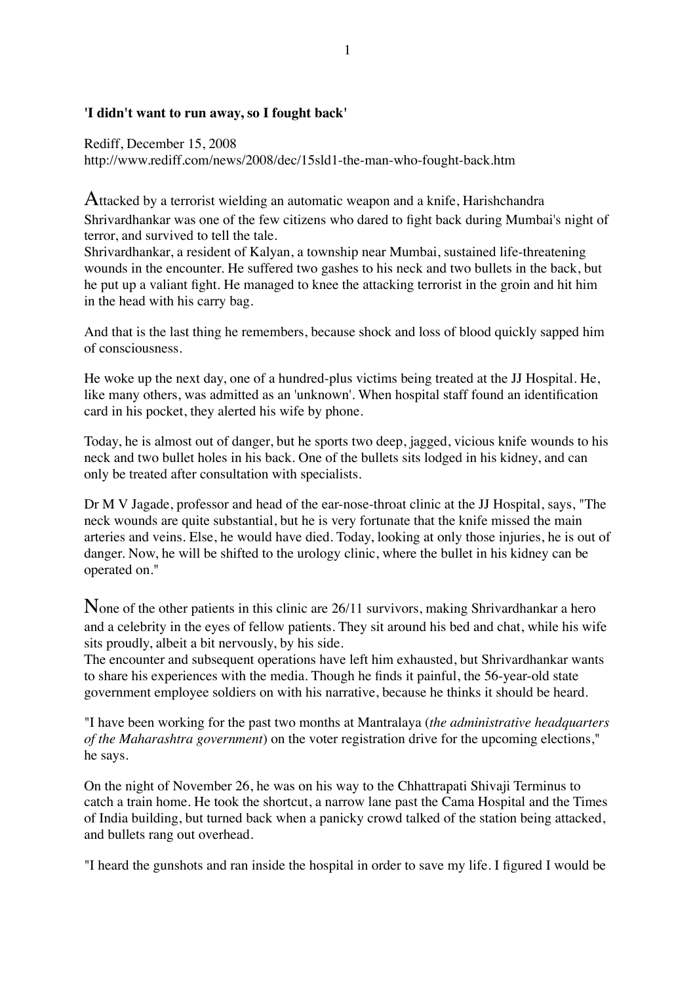## **'I didn't want to run away, so I fought back'**

Rediff, December 15, 2008 http://www.rediff.com/news/2008/dec/15sld1-the-man-who-fought-back.htm

Attacked by a terrorist wielding an automatic weapon and a knife, Harishchandra Shrivardhankar was one of the few citizens who dared to fight back during Mumbai's night of terror, and survived to tell the tale.

Shrivardhankar, a resident of Kalyan, a township near Mumbai, sustained life-threatening wounds in the encounter. He suffered two gashes to his neck and two bullets in the back, but he put up a valiant fight. He managed to knee the attacking terrorist in the groin and hit him in the head with his carry bag.

And that is the last thing he remembers, because shock and loss of blood quickly sapped him of consciousness.

He woke up the next day, one of a hundred-plus victims being treated at the JJ Hospital. He, like many others, was admitted as an 'unknown'. When hospital staff found an identification card in his pocket, they alerted his wife by phone.

Today, he is almost out of danger, but he sports two deep, jagged, vicious knife wounds to his neck and two bullet holes in his back. One of the bullets sits lodged in his kidney, and can only be treated after consultation with specialists.

Dr M V Jagade, professor and head of the ear-nose-throat clinic at the JJ Hospital, says, "The neck wounds are quite substantial, but he is very fortunate that the knife missed the main arteries and veins. Else, he would have died. Today, looking at only those injuries, he is out of danger. Now, he will be shifted to the urology clinic, where the bullet in his kidney can be operated on."

None of the other patients in this clinic are 26/11 survivors, making Shrivardhankar a hero and a celebrity in the eyes of fellow patients. They sit around his bed and chat, while his wife sits proudly, albeit a bit nervously, by his side.

The encounter and subsequent operations have left him exhausted, but Shrivardhankar wants to share his experiences with the media. Though he finds it painful, the 56-year-old state government employee soldiers on with his narrative, because he thinks it should be heard.

"I have been working for the past two months at Mantralaya (*the administrative headquarters of the Maharashtra government*) on the voter registration drive for the upcoming elections," he says.

On the night of November 26, he was on his way to the Chhattrapati Shivaji Terminus to catch a train home. He took the shortcut, a narrow lane past the Cama Hospital and the Times of India building, but turned back when a panicky crowd talked of the station being attacked, and bullets rang out overhead.

"I heard the gunshots and ran inside the hospital in order to save my life. I figured I would be